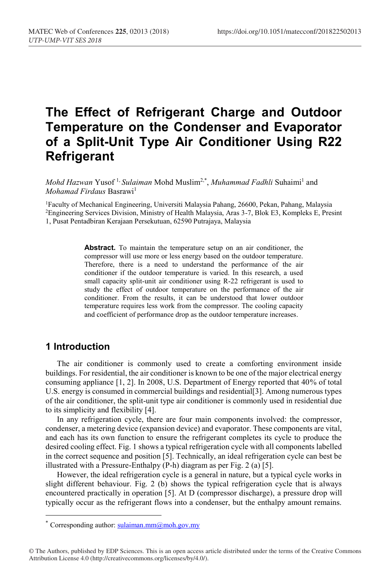# **The Effect of Refrigerant Charge and Outdoor Temperature on the Condenser and Evaporator of a Split-Unit Type Air Conditioner Using R22 Refrigerant**

*Mohd Hazwan* Yusof<sup>1,</sup> *Sulaiman* Mohd Muslim<sup>2,\*</sup>, *Muhammad Fadhli* Suhaimi<sup>1</sup> and *Mohamad Firdaus* Basrawi<sup>1</sup>

1Faculty of Mechanical Engineering, Universiti Malaysia Pahang, 26600, Pekan, Pahang, Malaysia 2Engineering Services Division, Ministry of Health Malaysia, Aras 3-7, Blok E3, Kompleks E, Presint 1, Pusat Pentadbiran Kerajaan Persekutuan, 62590 Putrajaya, Malaysia

> **Abstract.** To maintain the temperature setup on an air conditioner, the compressor will use more or less energy based on the outdoor temperature. Therefore, there is a need to understand the performance of the air conditioner if the outdoor temperature is varied. In this research, a used small capacity split-unit air conditioner using R-22 refrigerant is used to study the effect of outdoor temperature on the performance of the air conditioner. From the results, it can be understood that lower outdoor temperature requires less work from the compressor. The cooling capacity and coefficient of performance drop as the outdoor temperature increases.

## **1 Introduction**

The air conditioner is commonly used to create a comforting environment inside buildings. For residential, the air conditioner is known to be one of the major electrical energy consuming appliance [1, 2]. In 2008, U.S. Department of Energy reported that 40% of total U.S. energy is consumed in commercial buildings and residential[3]. Among numerous types of the air conditioner, the split-unit type air conditioner is commonly used in residential due to its simplicity and flexibility [4].

In any refrigeration cycle, there are four main components involved: the compressor, condenser, a metering device (expansion device) and evaporator. These components are vital, and each has its own function to ensure the refrigerant completes its cycle to produce the desired cooling effect. Fig. 1 shows a typical refrigeration cycle with all components labelled in the correct sequence and position [5]. Technically, an ideal refrigeration cycle can best be illustrated with a Pressure-Enthalpy (P-h) diagram as per Fig. 2 (a) [5].

However, the ideal refrigeration cycle is a general in nature, but a typical cycle works in slight different behaviour. Fig. 2 (b) shows the typical refrigeration cycle that is always encountered practically in operation [5]. At D (compressor discharge), a pressure drop will typically occur as the refrigerant flows into a condenser, but the enthalpy amount remains.

<sup>\*</sup> Corresponding author: sulaiman.mm $\omega$ moh.gov.my

<sup>©</sup> The Authors, published by EDP Sciences. This is an open access article distributed under the terms of the Creative Commons Attribution License 4.0 (http://creativecommons.org/licenses/by/4.0/).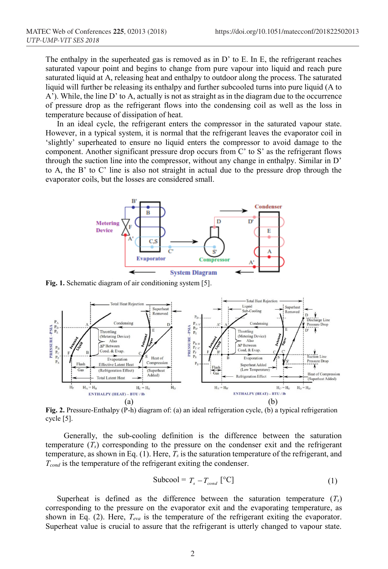The enthalpy in the superheated gas is removed as in D' to E. In E, the refrigerant reaches saturated vapour point and begins to change from pure vapour into liquid and reach pure saturated liquid at A, releasing heat and enthalpy to outdoor along the process. The saturated liquid will further be releasing its enthalpy and further subcooled turns into pure liquid (A to A'). While, the line D' to A, actually is not as straight as in the diagram due to the occurrence of pressure drop as the refrigerant flows into the condensing coil as well as the loss in temperature because of dissipation of heat.

In an ideal cycle, the refrigerant enters the compressor in the saturated vapour state. However, in a typical system, it is normal that the refrigerant leaves the evaporator coil in 'slightly' superheated to ensure no liquid enters the compressor to avoid damage to the component. Another significant pressure drop occurs from C' to S' as the refrigerant flows through the suction line into the compressor, without any change in enthalpy. Similar in D' to A, the B' to C' line is also not straight in actual due to the pressure drop through the evaporator coils, but the losses are considered small.



**Fig. 1.** Schematic diagram of air conditioning system [5].



**Fig. 2.** Pressure-Enthalpy (P-h) diagram of: (a) an ideal refrigeration cycle, (b) a typical refrigeration cycle [5].

Generally, the sub-cooling definition is the difference between the saturation temperature  $(T<sub>s</sub>)$  corresponding to the pressure on the condenser exit and the refrigerant temperature, as shown in Eq. (1). Here, *Ts* is the saturation temperature of the refrigerant, and *T<sub>cond</sub>* is the temperature of the refrigerant exiting the condenser.

$$
Subcool = T_s - T_{cond} [^{\circ}C]
$$
 (1)

Superheat is defined as the difference between the saturation temperature (*Ts*) corresponding to the pressure on the evaporator exit and the evaporating temperature, as shown in Eq. (2). Here,  $T_{eva}$  is the temperature of the refrigerant exiting the evaporator. Superheat value is crucial to assure that the refrigerant is utterly changed to vapour state.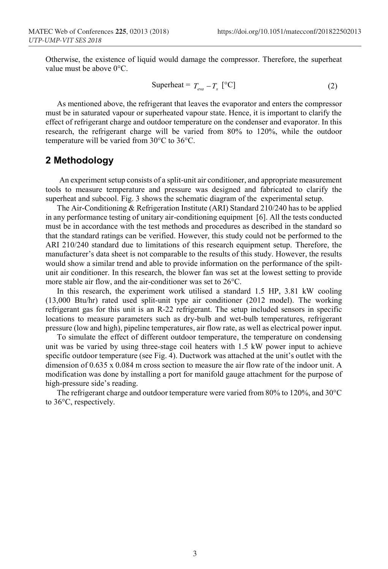Otherwise, the existence of liquid would damage the compressor. Therefore, the superheat value must be above 0°C.

$$
Superheat = T_{\text{eva}} - T_s \, [^{\circ}C]
$$
 (2)

As mentioned above, the refrigerant that leaves the evaporator and enters the compressor must be in saturated vapour or superheated vapour state. Hence, it is important to clarify the effect of refrigerant charge and outdoor temperature on the condenser and evaporator. In this research, the refrigerant charge will be varied from 80% to 120%, while the outdoor temperature will be varied from 30°C to 36°C.

#### **2 Methodology**

An experiment setup consists of a split-unit air conditioner, and appropriate measurement tools to measure temperature and pressure was designed and fabricated to clarify the superheat and subcool. Fig. 3 shows the schematic diagram of the experimental setup.

The Air-Conditioning & Refrigeration Institute (ARI) Standard 210/240 has to be applied in any performance testing of unitary air-conditioning equipment [6]. All the tests conducted must be in accordance with the test methods and procedures as described in the standard so that the standard ratings can be verified. However, this study could not be performed to the ARI 210/240 standard due to limitations of this research equipment setup. Therefore, the manufacturer's data sheet is not comparable to the results of this study. However, the results would show a similar trend and able to provide information on the performance of the spiltunit air conditioner. In this research, the blower fan was set at the lowest setting to provide more stable air flow, and the air-conditioner was set to 26°C.

In this research, the experiment work utilised a standard 1.5 HP, 3.81 kW cooling (13,000 Btu/hr) rated used split-unit type air conditioner (2012 model). The working refrigerant gas for this unit is an R-22 refrigerant. The setup included sensors in specific locations to measure parameters such as dry-bulb and wet-bulb temperatures, refrigerant pressure (low and high), pipeline temperatures, air flow rate, as well as electrical power input.

To simulate the effect of different outdoor temperature, the temperature on condensing unit was be varied by using three-stage coil heaters with 1.5 kW power input to achieve specific outdoor temperature (see Fig. 4). Ductwork was attached at the unit's outlet with the dimension of  $0.635 \times 0.084$  m cross section to measure the air flow rate of the indoor unit. A modification was done by installing a port for manifold gauge attachment for the purpose of high-pressure side's reading.

The refrigerant charge and outdoor temperature were varied from 80% to 120%, and 30°C to 36°C, respectively.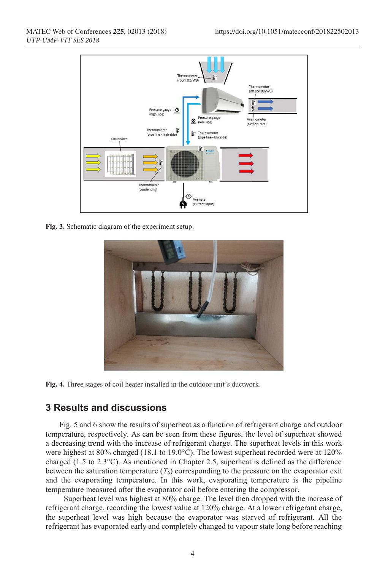

**Fig. 3.** Schematic diagram of the experiment setup.



**Fig. 4.** Three stages of coil heater installed in the outdoor unit's ductwork.

# **3 Results and discussions**

Fig. 5 and 6 show the results of superheat as a function of refrigerant charge and outdoor temperature, respectively. As can be seen from these figures, the level of superheat showed a decreasing trend with the increase of refrigerant charge. The superheat levels in this work were highest at 80% charged (18.1 to 19.0°C). The lowest superheat recorded were at 120% charged (1.5 to 2.3°C). As mentioned in Chapter 2.5, superheat is defined as the difference between the saturation temperature  $(T<sub>S</sub>)$  corresponding to the pressure on the evaporator exit and the evaporating temperature. In this work, evaporating temperature is the pipeline temperature measured after the evaporator coil before entering the compressor.

Superheat level was highest at 80% charge. The level then dropped with the increase of refrigerant charge, recording the lowest value at 120% charge. At a lower refrigerant charge, the superheat level was high because the evaporator was starved of refrigerant. All the refrigerant has evaporated early and completely changed to vapour state long before reaching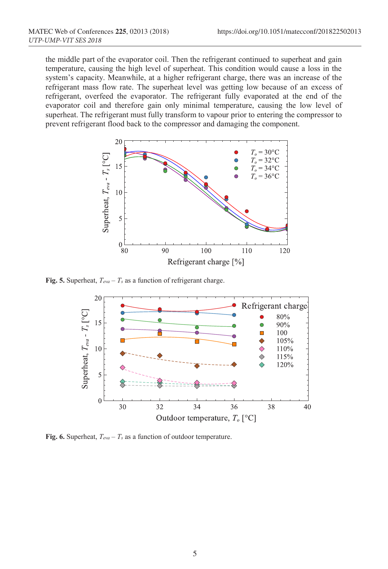the middle part of the evaporator coil. Then the refrigerant continued to superheat and gain temperature, causing the high level of superheat. This condition would cause a loss in the system's capacity. Meanwhile, at a higher refrigerant charge, there was an increase of the refrigerant mass flow rate. The superheat level was getting low because of an excess of refrigerant, overfeed the evaporator. The refrigerant fully evaporated at the end of the evaporator coil and therefore gain only minimal temperature, causing the low level of superheat. The refrigerant must fully transform to vapour prior to entering the compressor to prevent refrigerant flood back to the compressor and damaging the component.



**Fig. 5.** Superheat, *Teva – Ts* as a function of refrigerant charge.



**Fig. 6.** Superheat, *Teva – Ts* as a function of outdoor temperature.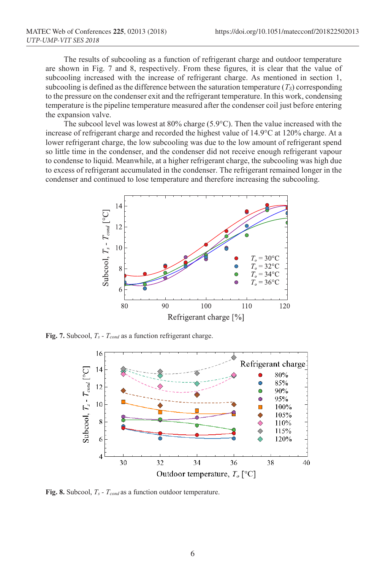The results of subcooling as a function of refrigerant charge and outdoor temperature are shown in Fig. 7 and 8, respectively. From these figures, it is clear that the value of subcooling increased with the increase of refrigerant charge. As mentioned in section 1, subcooling is defined as the difference between the saturation temperature  $(T<sub>S</sub>)$  corresponding to the pressure on the condenser exit and the refrigerant temperature. In this work, condensing temperature is the pipeline temperature measured after the condenser coil just before entering the expansion valve.

The subcool level was lowest at 80% charge (5.9°C). Then the value increased with the increase of refrigerant charge and recorded the highest value of 14.9°C at 120% charge. At a lower refrigerant charge, the low subcooling was due to the low amount of refrigerant spend so little time in the condenser, and the condenser did not receive enough refrigerant vapour to condense to liquid. Meanwhile, at a higher refrigerant charge, the subcooling was high due to excess of refrigerant accumulated in the condenser. The refrigerant remained longer in the condenser and continued to lose temperature and therefore increasing the subcooling.



**Fig. 7.** Subcool, *Ts - Tcond* as a function refrigerant charge.



**Fig. 8.** Subcool, *Ts - Tcond* as a function outdoor temperature.